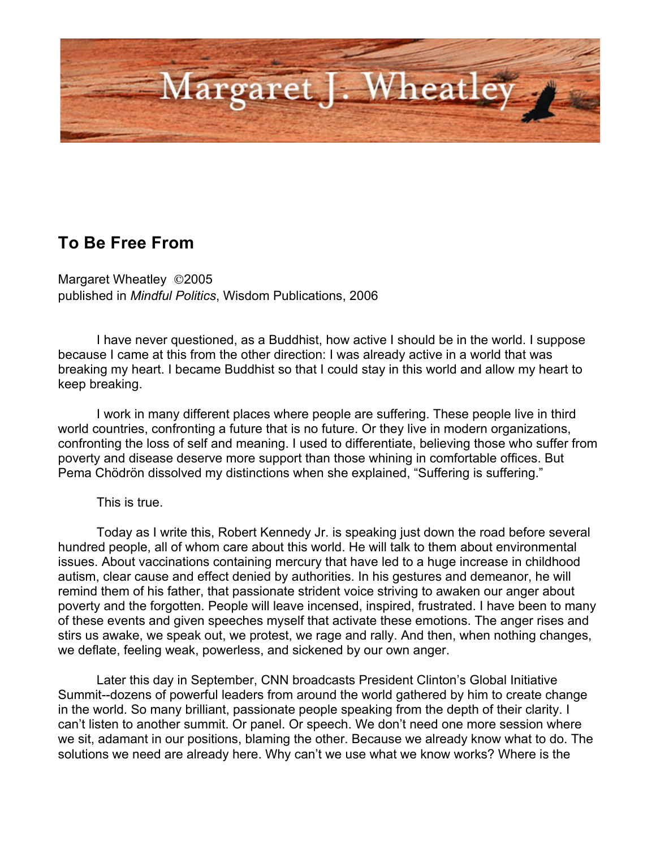

# **To Be Free From**

Margaret Wheatley ©2005 published in *Mindful Politics*, Wisdom Publications, 2006

I have never questioned, as a Buddhist, how active I should be in the world. I suppose because I came at this from the other direction: I was already active in a world that was breaking my heart. I became Buddhist so that I could stay in this world and allow my heart to keep breaking.

I work in many different places where people are suffering. These people live in third world countries, confronting a future that is no future. Or they live in modern organizations, confronting the loss of self and meaning. I used to differentiate, believing those who suffer from poverty and disease deserve more support than those whining in comfortable offices. But Pema Chödrön dissolved my distinctions when she explained, "Suffering is suffering."

#### This is true.

Today as I write this, Robert Kennedy Jr. is speaking just down the road before several hundred people, all of whom care about this world. He will talk to them about environmental issues. About vaccinations containing mercury that have led to a huge increase in childhood autism, clear cause and effect denied by authorities. In his gestures and demeanor, he will remind them of his father, that passionate strident voice striving to awaken our anger about poverty and the forgotten. People will leave incensed, inspired, frustrated. I have been to many of these events and given speeches myself that activate these emotions. The anger rises and stirs us awake, we speak out, we protest, we rage and rally. And then, when nothing changes, we deflate, feeling weak, powerless, and sickened by our own anger.

Later this day in September, CNN broadcasts President Clinton's Global Initiative Summit--dozens of powerful leaders from around the world gathered by him to create change in the world. So many brilliant, passionate people speaking from the depth of their clarity. I can't listen to another summit. Or panel. Or speech. We don't need one more session where we sit, adamant in our positions, blaming the other. Because we already know what to do. The solutions we need are already here. Why can't we use what we know works? Where is the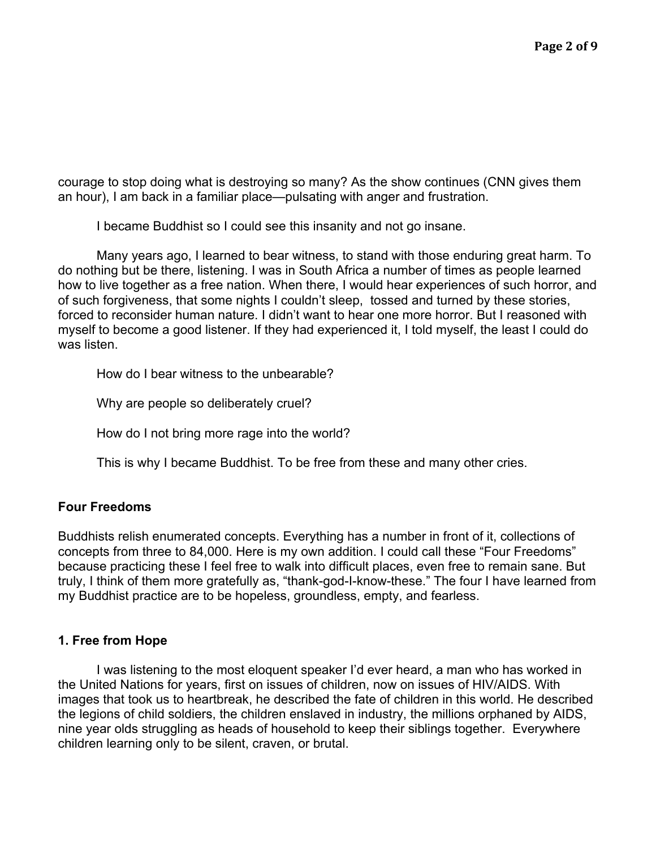courage to stop doing what is destroying so many? As the show continues (CNN gives them an hour), I am back in a familiar place—pulsating with anger and frustration.

I became Buddhist so I could see this insanity and not go insane.

Many years ago, I learned to bear witness, to stand with those enduring great harm. To do nothing but be there, listening. I was in South Africa a number of times as people learned how to live together as a free nation. When there, I would hear experiences of such horror, and of such forgiveness, that some nights I couldn't sleep, tossed and turned by these stories, forced to reconsider human nature. I didn't want to hear one more horror. But I reasoned with myself to become a good listener. If they had experienced it, I told myself, the least I could do was listen.

How do I bear witness to the unbearable?

Why are people so deliberately cruel?

How do I not bring more rage into the world?

This is why I became Buddhist. To be free from these and many other cries.

# **Four Freedoms**

Buddhists relish enumerated concepts. Everything has a number in front of it, collections of concepts from three to 84,000. Here is my own addition. I could call these "Four Freedoms" because practicing these I feel free to walk into difficult places, even free to remain sane. But truly, I think of them more gratefully as, "thank-god-I-know-these." The four I have learned from my Buddhist practice are to be hopeless, groundless, empty, and fearless.

# **1. Free from Hope**

I was listening to the most eloquent speaker I'd ever heard, a man who has worked in the United Nations for years, first on issues of children, now on issues of HIV/AIDS. With images that took us to heartbreak, he described the fate of children in this world. He described the legions of child soldiers, the children enslaved in industry, the millions orphaned by AIDS, nine year olds struggling as heads of household to keep their siblings together. Everywhere children learning only to be silent, craven, or brutal.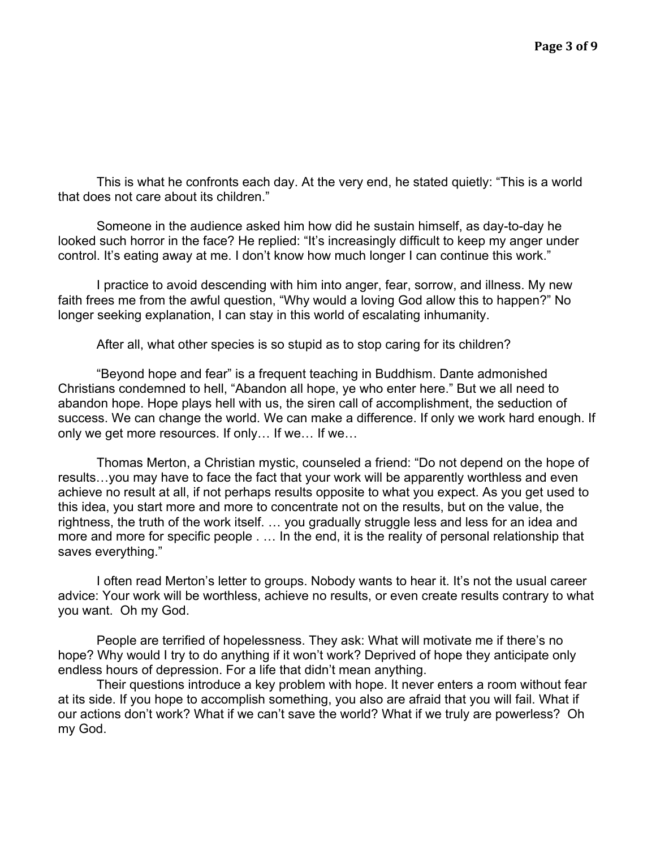This is what he confronts each day. At the very end, he stated quietly: "This is a world that does not care about its children."

Someone in the audience asked him how did he sustain himself, as day-to-day he looked such horror in the face? He replied: "It's increasingly difficult to keep my anger under control. It's eating away at me. I don't know how much longer I can continue this work."

I practice to avoid descending with him into anger, fear, sorrow, and illness. My new faith frees me from the awful question, "Why would a loving God allow this to happen?" No longer seeking explanation, I can stay in this world of escalating inhumanity.

After all, what other species is so stupid as to stop caring for its children?

"Beyond hope and fear" is a frequent teaching in Buddhism. Dante admonished Christians condemned to hell, "Abandon all hope, ye who enter here." But we all need to abandon hope. Hope plays hell with us, the siren call of accomplishment, the seduction of success. We can change the world. We can make a difference. If only we work hard enough. If only we get more resources. If only… If we… If we…

Thomas Merton, a Christian mystic, counseled a friend: "Do not depend on the hope of results…you may have to face the fact that your work will be apparently worthless and even achieve no result at all, if not perhaps results opposite to what you expect. As you get used to this idea, you start more and more to concentrate not on the results, but on the value, the rightness, the truth of the work itself. … you gradually struggle less and less for an idea and more and more for specific people . … In the end, it is the reality of personal relationship that saves everything."

I often read Merton's letter to groups. Nobody wants to hear it. It's not the usual career advice: Your work will be worthless, achieve no results, or even create results contrary to what you want. Oh my God.

People are terrified of hopelessness. They ask: What will motivate me if there's no hope? Why would I try to do anything if it won't work? Deprived of hope they anticipate only endless hours of depression. For a life that didn't mean anything.

Their questions introduce a key problem with hope. It never enters a room without fear at its side. If you hope to accomplish something, you also are afraid that you will fail. What if our actions don't work? What if we can't save the world? What if we truly are powerless? Oh my God.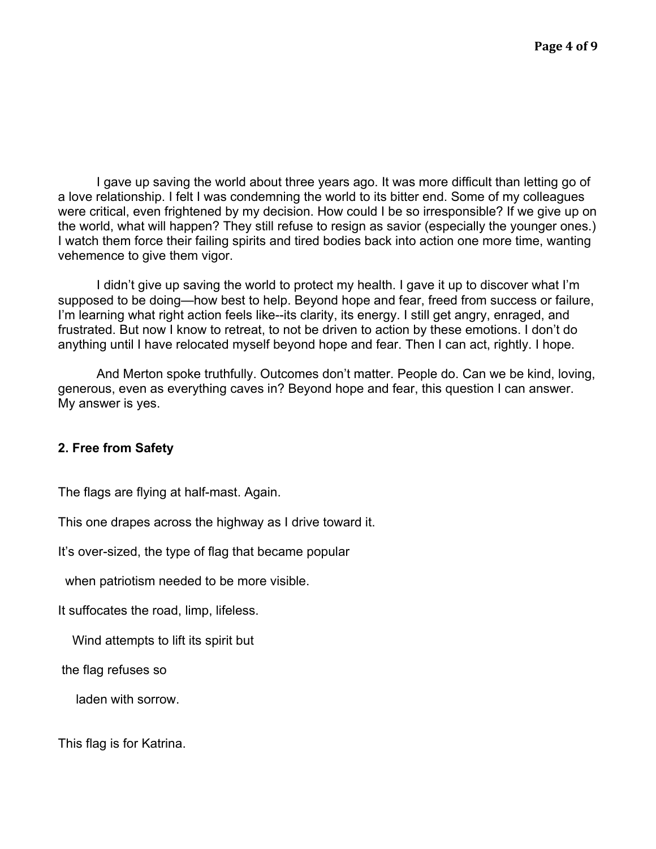I gave up saving the world about three years ago. It was more difficult than letting go of a love relationship. I felt I was condemning the world to its bitter end. Some of my colleagues were critical, even frightened by my decision. How could I be so irresponsible? If we give up on the world, what will happen? They still refuse to resign as savior (especially the younger ones.) I watch them force their failing spirits and tired bodies back into action one more time, wanting vehemence to give them vigor.

I didn't give up saving the world to protect my health. I gave it up to discover what I'm supposed to be doing—how best to help. Beyond hope and fear, freed from success or failure, I'm learning what right action feels like--its clarity, its energy. I still get angry, enraged, and frustrated. But now I know to retreat, to not be driven to action by these emotions. I don't do anything until I have relocated myself beyond hope and fear. Then I can act, rightly. I hope.

And Merton spoke truthfully. Outcomes don't matter. People do. Can we be kind, loving, generous, even as everything caves in? Beyond hope and fear, this question I can answer. My answer is yes.

# **2. Free from Safety**

The flags are flying at half-mast. Again.

This one drapes across the highway as I drive toward it.

It's over-sized, the type of flag that became popular

when patriotism needed to be more visible.

It suffocates the road, limp, lifeless.

Wind attempts to lift its spirit but

the flag refuses so

laden with sorrow.

This flag is for Katrina.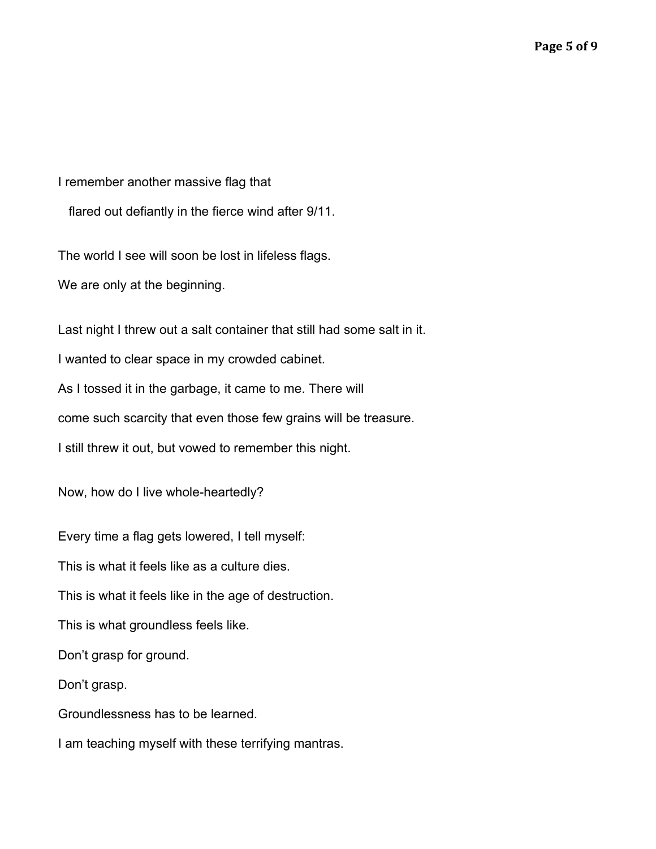I remember another massive flag that flared out defiantly in the fierce wind after 9/11.

The world I see will soon be lost in lifeless flags.

We are only at the beginning.

Last night I threw out a salt container that still had some salt in it.

I wanted to clear space in my crowded cabinet.

As I tossed it in the garbage, it came to me. There will

come such scarcity that even those few grains will be treasure.

I still threw it out, but vowed to remember this night.

Now, how do I live whole-heartedly?

Every time a flag gets lowered, I tell myself:

This is what it feels like as a culture dies.

This is what it feels like in the age of destruction.

This is what groundless feels like.

Don't grasp for ground.

Don't grasp.

Groundlessness has to be learned.

I am teaching myself with these terrifying mantras.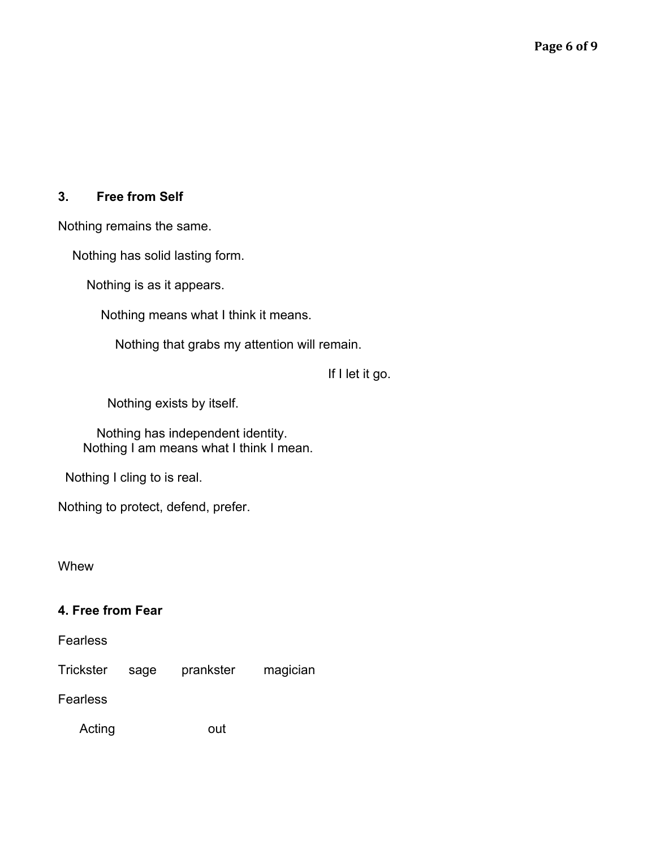# **3. Free from Self**

Nothing remains the same.

Nothing has solid lasting form.

Nothing is as it appears.

Nothing means what I think it means.

Nothing that grabs my attention will remain.

If I let it go.

Nothing exists by itself.

 Nothing has independent identity. Nothing I am means what I think I mean.

Nothing I cling to is real.

Nothing to protect, defend, prefer.

Whew

# **4. Free from Fear**

**Fearless** 

Trickster sage prankster magician

Fearless

Acting out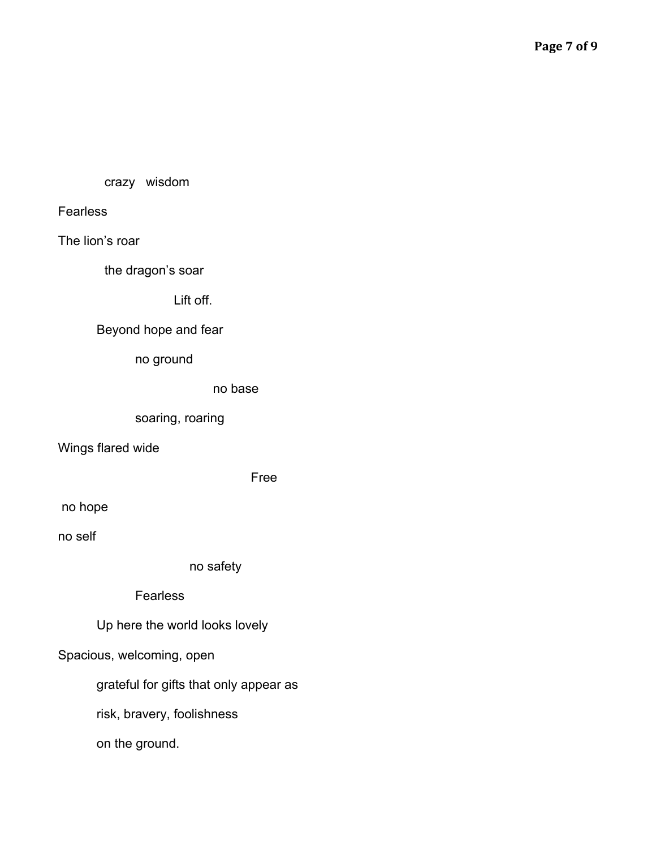crazy wisdom

**Fearless** 

The lion's roar

the dragon's soar

Lift off.

# Beyond hope and fear

no ground

no base

soaring, roaring

Wings flared wide

Free

no hope

no self

no safety

# Fearless

Up here the world looks lovely

Spacious, welcoming, open

grateful for gifts that only appear as

risk, bravery, foolishness

on the ground.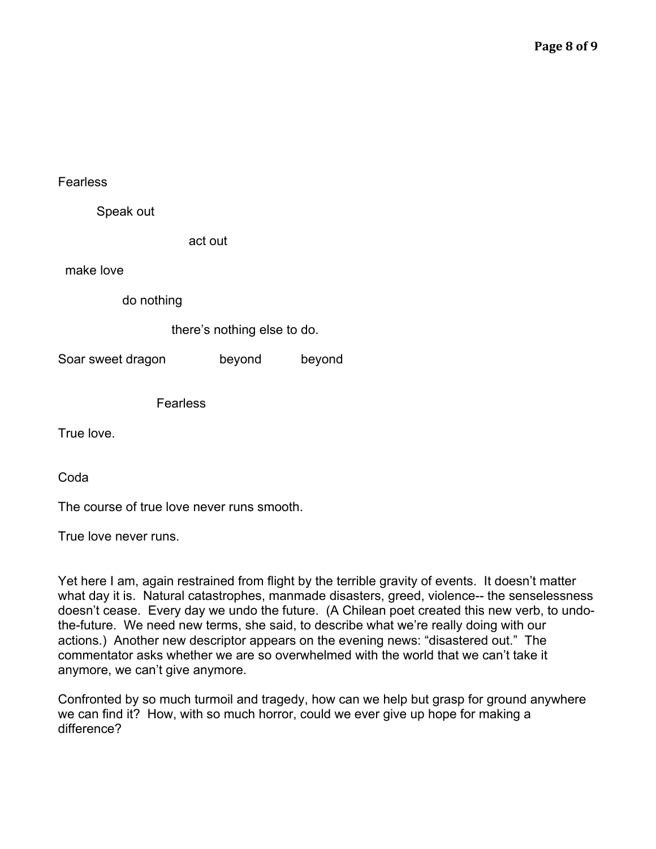| Fearless                    |        |        |  |
|-----------------------------|--------|--------|--|
| Speak out                   |        |        |  |
| act out                     |        |        |  |
| make love                   |        |        |  |
| do nothing                  |        |        |  |
| there's nothing else to do. |        |        |  |
| Soar sweet dragon           | beyond | beyond |  |
| Fearless                    |        |        |  |
| True love.                  |        |        |  |
| Coda                        |        |        |  |

The course of true love never runs smooth.

True love never runs.

Yet here I am, again restrained from flight by the terrible gravity of events. It doesn't matter what day it is. Natural catastrophes, manmade disasters, greed, violence-- the senselessness doesn't cease. Every day we undo the future. (A Chilean poet created this new verb, to undothe-future. We need new terms, she said, to describe what we're really doing with our actions.) Another new descriptor appears on the evening news: "disastered out." The commentator asks whether we are so overwhelmed with the world that we can't take it anymore, we can't give anymore.

Confronted by so much turmoil and tragedy, how can we help but grasp for ground anywhere we can find it? How, with so much horror, could we ever give up hope for making a difference?